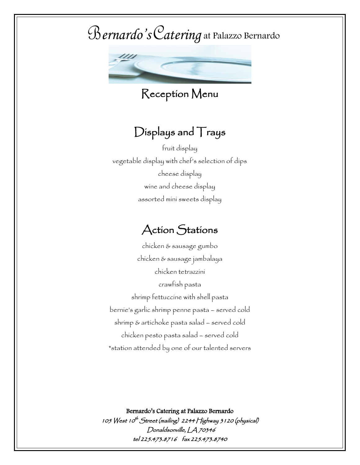

Reception Menu

### Displays and Trays

fruit display vegetable display with chef's selection of dips cheese display wine and cheese display assorted mini sweets display

### Action Stations

chicken & sausage gumbo chicken & sausage jambalaya chicken tetrazzini crawfish pasta shrimp fettuccine with shell pasta bernie's garlic shrimp penne pasta – served cold shrimp & artichoke pasta salad – served cold chicken pesto pasta salad – served cold \*station attended by one of our talented servers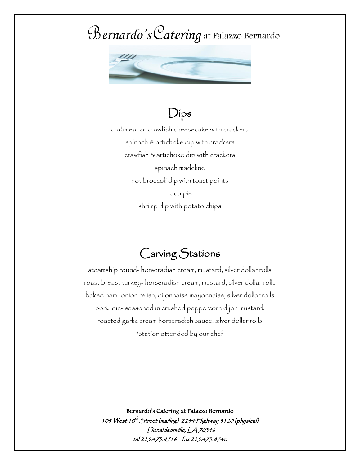

### Dips

crabmeat or crawfish cheesecake with crackers spinach & artichoke dip with crackers crawfish & artichoke dip with crackers spinach madeline hot broccoli dip with toast points taco pie shrimp dip with potato chips

### Carving Stations

steamship round- horseradish cream, mustard, silver dollar rolls roast breast turkey- horseradish cream, mustard, silver dollar rolls baked ham- onion relish, dijonnaise mayonnaise, silver dollar rolls pork loin- seasoned in crushed peppercorn dijon mustard, roasted garlic cream horseradish sauce, silver dollar rolls \*station attended by our chef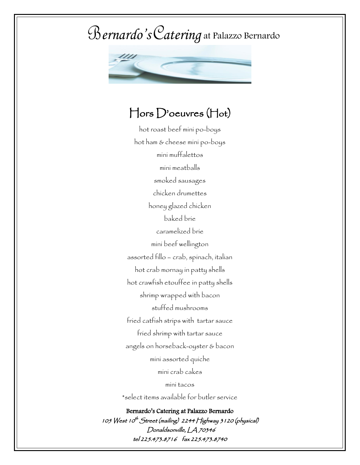

#### Hors D'oeuvres (Hot)

hot roast beef mini po-boys hot ham & cheese mini po-boys mini muffalettos mini meatballs smoked sausages chicken drumettes honey glazed chicken baked brie caramelized brie mini beef wellington assorted fillo – crab, spinach, italian hot crab mornay in patty shells hot crawfish etouffee in patty shells shrimp wrapped with bacon stuffed mushrooms fried catfish strips with tartar sauce fried shrimp with tartar sauce mini assorted quiche mini crab cakes mini tacos

Bernardo's Catering at Palazzo Bernardo 105 West 10<sup>th</sup> Street (mailing) 2244 Highway 3 1 20 (physical) Donaldsonville, LA 70346 tel 225.473.8716 fax 225.473.8740 angels on horseback-oyster & bacon \*select items available for butler service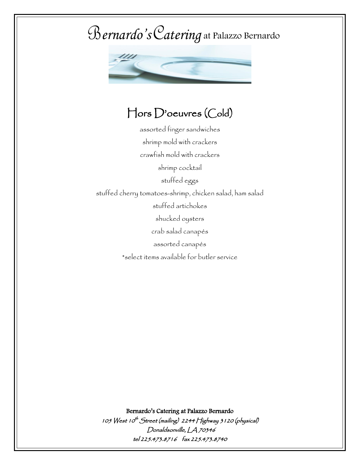

### Hors D'oeuvres (Cold)

assorted finger sandwiches shrimp mold with crackers crawfish mold with crackers shrimp cocktail stuffed eggs stuffed cherry tomatoes-shrimp, chicken salad, ham salad stuffed artichokes shucked oysters crab salad canapés assorted canapés \*select items available for butler service